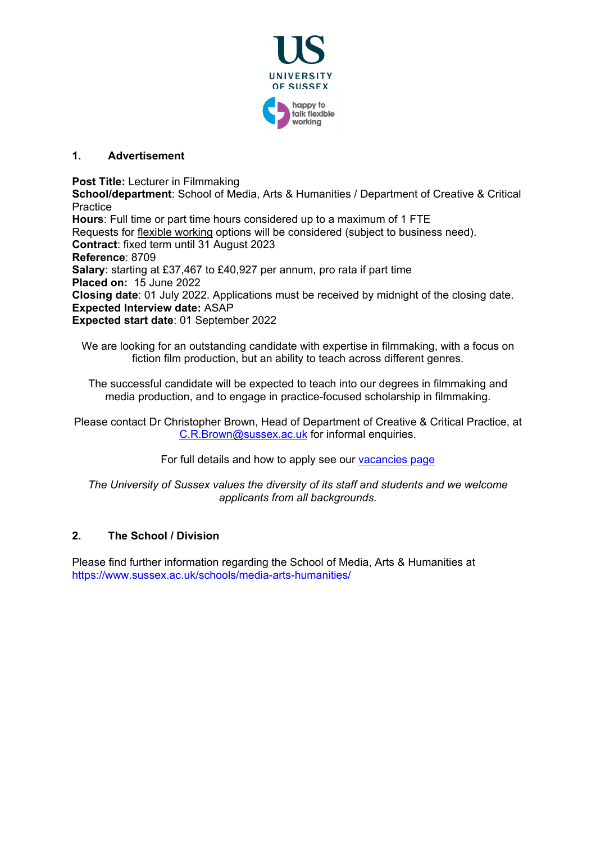

# **1. Advertisement**

**Post Title:** Lecturer in Filmmaking

**School/department**: School of Media, Arts & Humanities / Department of Creative & Critical **Practice** 

**Hours**: Full time or part time hours considered up to a maximum of 1 FTE Requests for [flexible working](http://www.sussex.ac.uk/humanresources/personnel/flexible-working) options will be considered (subject to business need). **Contract**: fixed term until 31 August 2023 **Reference**: 8709 **Salary**: starting at £37,467 to £40,927 per annum, pro rata if part time **Placed on:** 15 June 2022 **Closing date**: 01 July 2022. Applications must be received by midnight of the closing date. **Expected Interview date:** ASAP **Expected start date**: 01 September 2022

We are looking for an outstanding candidate with expertise in filmmaking, with a focus on fiction film production, but an ability to teach across different genres.

The successful candidate will be expected to teach into our degrees in filmmaking and media production, and to engage in practice-focused scholarship in filmmaking.

Please contact Dr Christopher Brown, Head of Department of Creative & Critical Practice, at [C.R.Brown@sussex.ac.uk](mailto:C.R.Brown@sussex.ac.uk) for informal enquiries.

For full details and how to apply see our [vacancies page](http://www.sussex.ac.uk/about/jobs)

*The University of Sussex values the diversity of its staff and students and we welcome applicants from all backgrounds.*

# **2. The School / Division**

Please find further information regarding the School of Media, Arts & Humanities at https://www.sussex.ac.uk/schools/media-arts-humanities/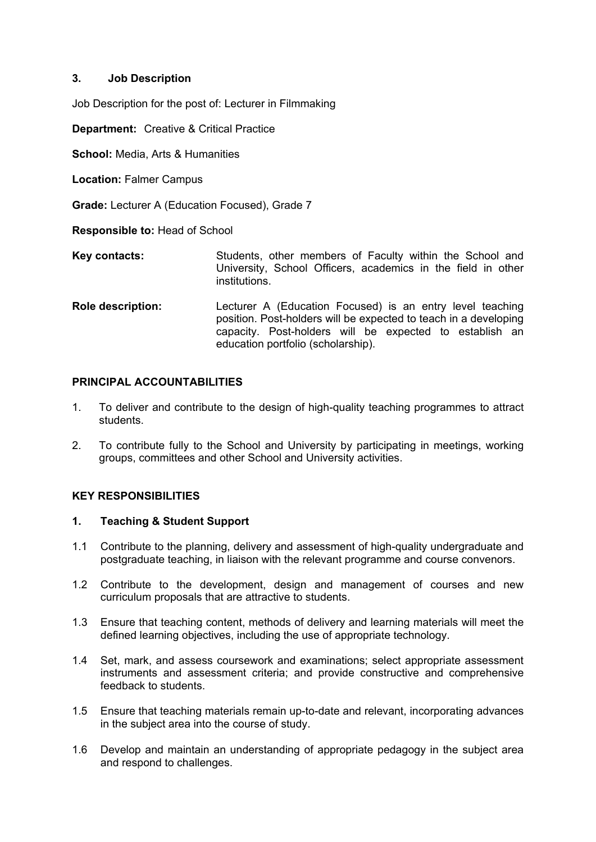## **3. Job Description**

Job Description for the post of: Lecturer in Filmmaking

**Department:** Creative & Critical Practice

**School:** Media, Arts & Humanities

**Location:** Falmer Campus

**Grade:** Lecturer A (Education Focused), Grade 7

**Responsible to:** Head of School

- **Key contacts:** Students, other members of Faculty within the School and University, School Officers, academics in the field in other institutions.
- **Role description:** Lecturer A (Education Focused) is an entry level teaching position. Post-holders will be expected to teach in a developing capacity. Post-holders will be expected to establish an education portfolio (scholarship).

## **PRINCIPAL ACCOUNTABILITIES**

- 1. To deliver and contribute to the design of high-quality teaching programmes to attract students.
- 2. To contribute fully to the School and University by participating in meetings, working groups, committees and other School and University activities.

# **KEY RESPONSIBILITIES**

## **1. Teaching & Student Support**

- 1.1 Contribute to the planning, delivery and assessment of high-quality undergraduate and postgraduate teaching, in liaison with the relevant programme and course convenors.
- 1.2 Contribute to the development, design and management of courses and new curriculum proposals that are attractive to students.
- 1.3 Ensure that teaching content, methods of delivery and learning materials will meet the defined learning objectives, including the use of appropriate technology.
- 1.4 Set, mark, and assess coursework and examinations; select appropriate assessment instruments and assessment criteria; and provide constructive and comprehensive feedback to students.
- 1.5 Ensure that teaching materials remain up-to-date and relevant, incorporating advances in the subject area into the course of study.
- 1.6 Develop and maintain an understanding of appropriate pedagogy in the subject area and respond to challenges.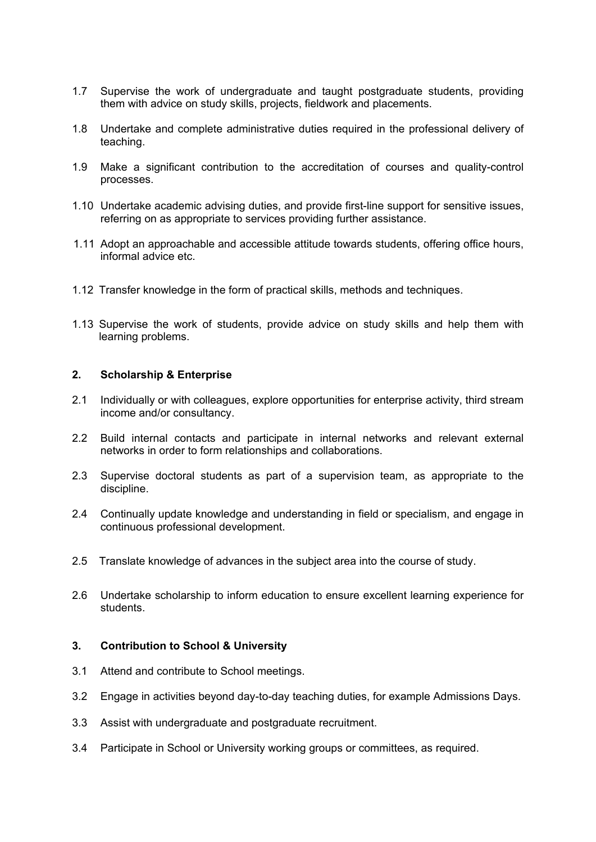- 1.7 Supervise the work of undergraduate and taught postgraduate students, providing them with advice on study skills, projects, fieldwork and placements.
- 1.8 Undertake and complete administrative duties required in the professional delivery of teaching.
- 1.9 Make a significant contribution to the accreditation of courses and quality-control processes.
- 1.10 Undertake academic advising duties, and provide first-line support for sensitive issues, referring on as appropriate to services providing further assistance.
- 1.11 Adopt an approachable and accessible attitude towards students, offering office hours, informal advice etc.
- 1.12 Transfer knowledge in the form of practical skills, methods and techniques.
- 1.13 Supervise the work of students, provide advice on study skills and help them with learning problems.

### **2. Scholarship & Enterprise**

- 2.1 Individually or with colleagues, explore opportunities for enterprise activity, third stream income and/or consultancy.
- 2.2 Build internal contacts and participate in internal networks and relevant external networks in order to form relationships and collaborations.
- 2.3 Supervise doctoral students as part of a supervision team, as appropriate to the discipline.
- 2.4 Continually update knowledge and understanding in field or specialism, and engage in continuous professional development.
- 2.5 Translate knowledge of advances in the subject area into the course of study.
- 2.6 Undertake scholarship to inform education to ensure excellent learning experience for students.

### **3. Contribution to School & University**

- 3.1 Attend and contribute to School meetings.
- 3.2 Engage in activities beyond day-to-day teaching duties, for example Admissions Days.
- 3.3 Assist with undergraduate and postgraduate recruitment.
- 3.4 Participate in School or University working groups or committees, as required.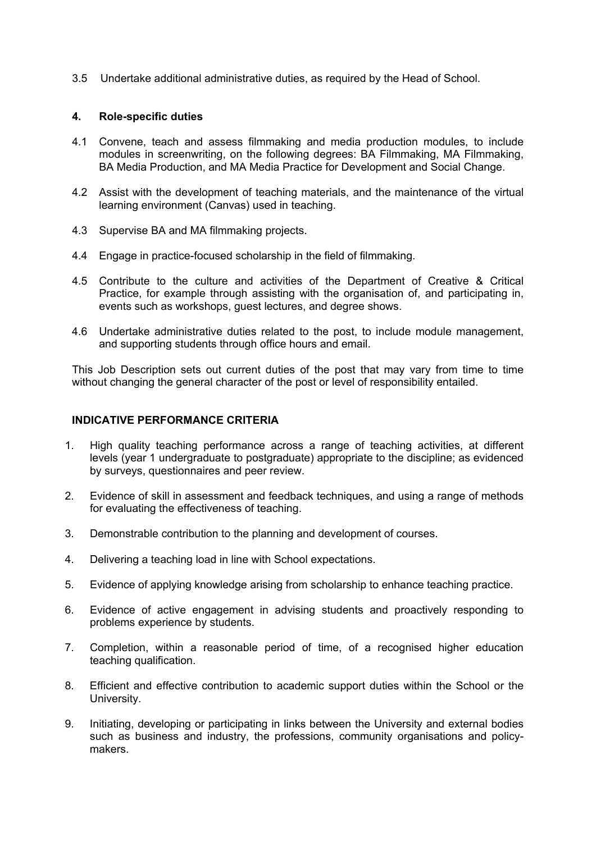3.5 Undertake additional administrative duties, as required by the Head of School.

### **4. Role-specific duties**

- 4.1 Convene, teach and assess filmmaking and media production modules, to include modules in screenwriting, on the following degrees: BA Filmmaking, MA Filmmaking, BA Media Production, and MA Media Practice for Development and Social Change.
- 4.2 Assist with the development of teaching materials, and the maintenance of the virtual learning environment (Canvas) used in teaching.
- 4.3 Supervise BA and MA filmmaking projects.
- 4.4 Engage in practice-focused scholarship in the field of filmmaking.
- 4.5 Contribute to the culture and activities of the Department of Creative & Critical Practice, for example through assisting with the organisation of, and participating in, events such as workshops, guest lectures, and degree shows.
- 4.6 Undertake administrative duties related to the post, to include module management, and supporting students through office hours and email.

This Job Description sets out current duties of the post that may vary from time to time without changing the general character of the post or level of responsibility entailed.

#### **INDICATIVE PERFORMANCE CRITERIA**

- 1. High quality teaching performance across a range of teaching activities, at different levels (year 1 undergraduate to postgraduate) appropriate to the discipline; as evidenced by surveys, questionnaires and peer review.
- 2. Evidence of skill in assessment and feedback techniques, and using a range of methods for evaluating the effectiveness of teaching.
- 3. Demonstrable contribution to the planning and development of courses.
- 4. Delivering a teaching load in line with School expectations.
- 5. Evidence of applying knowledge arising from scholarship to enhance teaching practice.
- 6. Evidence of active engagement in advising students and proactively responding to problems experience by students.
- 7. Completion, within a reasonable period of time, of a recognised higher education teaching qualification.
- 8. Efficient and effective contribution to academic support duties within the School or the University.
- 9. Initiating, developing or participating in links between the University and external bodies such as business and industry, the professions, community organisations and policymakers.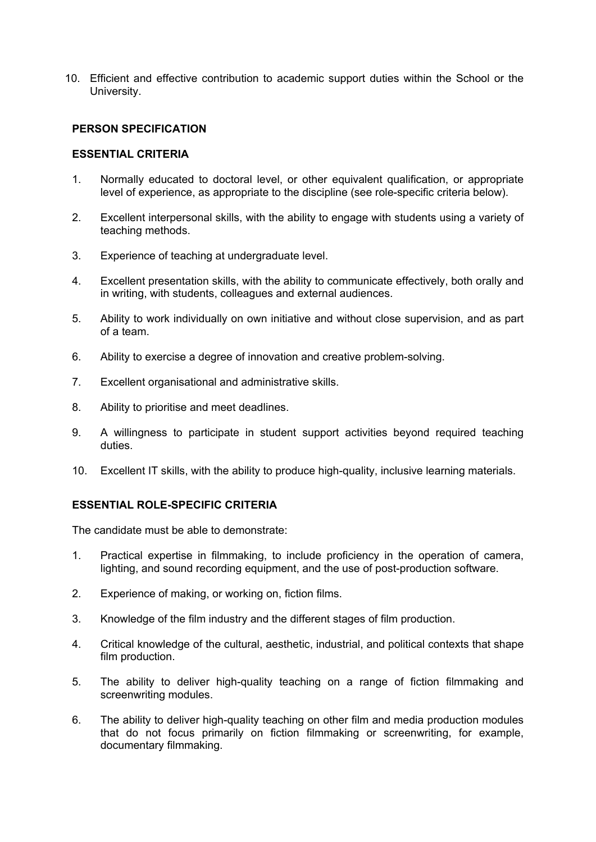10. Efficient and effective contribution to academic support duties within the School or the University.

### **PERSON SPECIFICATION**

#### **ESSENTIAL CRITERIA**

- 1. Normally educated to doctoral level, or other equivalent qualification, or appropriate level of experience, as appropriate to the discipline (see role-specific criteria below).
- 2. Excellent interpersonal skills, with the ability to engage with students using a variety of teaching methods.
- 3. Experience of teaching at undergraduate level.
- 4. Excellent presentation skills, with the ability to communicate effectively, both orally and in writing, with students, colleagues and external audiences.
- 5. Ability to work individually on own initiative and without close supervision, and as part of a team.
- 6. Ability to exercise a degree of innovation and creative problem-solving.
- 7. Excellent organisational and administrative skills.
- 8. Ability to prioritise and meet deadlines.
- 9. A willingness to participate in student support activities beyond required teaching duties.
- 10. Excellent IT skills, with the ability to produce high-quality, inclusive learning materials.

## **ESSENTIAL ROLE-SPECIFIC CRITERIA**

The candidate must be able to demonstrate:

- 1. Practical expertise in filmmaking, to include proficiency in the operation of camera, lighting, and sound recording equipment, and the use of post-production software.
- 2. Experience of making, or working on, fiction films.
- 3. Knowledge of the film industry and the different stages of film production.
- 4. Critical knowledge of the cultural, aesthetic, industrial, and political contexts that shape film production.
- 5. The ability to deliver high-quality teaching on a range of fiction filmmaking and screenwriting modules.
- 6. The ability to deliver high-quality teaching on other film and media production modules that do not focus primarily on fiction filmmaking or screenwriting, for example, documentary filmmaking.